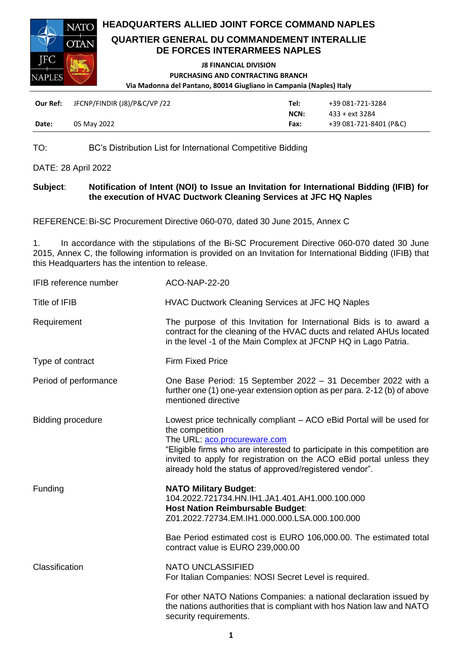



### **QUARTIER GENERAL DU COMMANDEMENT INTERALLIE DE FORCES INTERARMEES NAPLES**

#### **J8 FINANCIAL DIVISION PURCHASING AND CONTRACTING BRANCH Via Madonna del Pantano, 80014 Giugliano in Campania (Naples) Italy**

| Our Ref: | JFCNP/FINDIR (J8)/P&C/VP /22 | Tel: | +39 081-721-3284       |
|----------|------------------------------|------|------------------------|
|          |                              | NCN: | 433 + ext 3284         |
| Date:    | 05 May 2022                  | Fax: | +39 081-721-8401 (P&C) |

TO: BC's Distribution List for International Competitive Bidding

DATE: 28 April 2022

## **Subject**: **Notification of Intent (NOI) to Issue an Invitation for International Bidding (IFIB) for the execution of HVAC Ductwork Cleaning Services at JFC HQ Naples**

REFERENCE:Bi-SC Procurement Directive 060-070, dated 30 June 2015, Annex C

1. In accordance with the stipulations of the Bi-SC Procurement Directive 060-070 dated 30 June 2015, Annex C, the following information is provided on an Invitation for International Bidding (IFIB) that this Headquarters has the intention to release.

| IFIB reference number    | ACO-NAP-22-20                                                                                                                                                                                                                                                                                                                            |
|--------------------------|------------------------------------------------------------------------------------------------------------------------------------------------------------------------------------------------------------------------------------------------------------------------------------------------------------------------------------------|
| Title of IFIB            | <b>HVAC Ductwork Cleaning Services at JFC HQ Naples</b>                                                                                                                                                                                                                                                                                  |
| Requirement              | The purpose of this Invitation for International Bids is to award a<br>contract for the cleaning of the HVAC ducts and related AHUs located<br>in the level -1 of the Main Complex at JFCNP HQ in Lago Patria.                                                                                                                           |
| Type of contract         | <b>Firm Fixed Price</b>                                                                                                                                                                                                                                                                                                                  |
| Period of performance    | One Base Period: 15 September 2022 - 31 December 2022 with a<br>further one (1) one-year extension option as per para. 2-12 (b) of above<br>mentioned directive                                                                                                                                                                          |
| <b>Bidding procedure</b> | Lowest price technically compliant – ACO eBid Portal will be used for<br>the competition<br>The URL: aco.procureware.com<br>"Eligible firms who are interested to participate in this competition are<br>invited to apply for registration on the ACO eBid portal unless they<br>already hold the status of approved/registered vendor". |
| Funding                  | <b>NATO Military Budget:</b><br>104.2022.721734.HN.IH1.JA1.401.AH1.000.100.000<br><b>Host Nation Reimbursable Budget:</b><br>Z01.2022.72734.EM.IH1.000.000.LSA.000.100.000<br>Bae Period estimated cost is EURO 106,000.00. The estimated total<br>contract value is EURO 239,000.00                                                     |
| Classification           | <b>NATO UNCLASSIFIED</b><br>For Italian Companies: NOSI Secret Level is required.<br>For other NATO Nations Companies: a national declaration issued by<br>the nations authorities that is compliant with hos Nation law and NATO<br>security requirements.                                                                              |